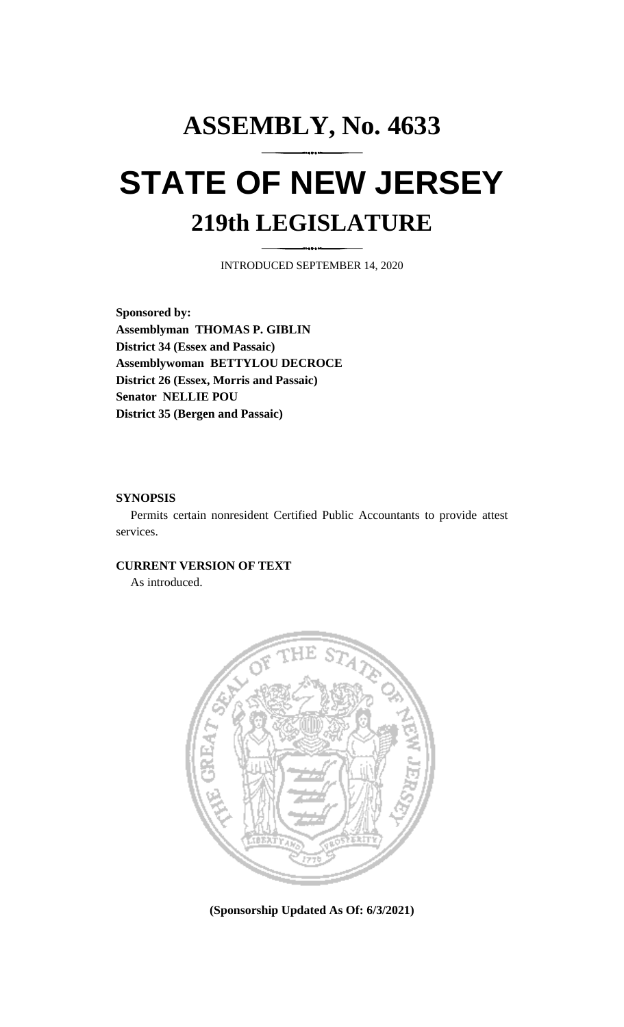## **ASSEMBLY, No. 4633 STATE OF NEW JERSEY 219th LEGISLATURE**

INTRODUCED SEPTEMBER 14, 2020

**Sponsored by: Assemblyman THOMAS P. GIBLIN District 34 (Essex and Passaic) Assemblywoman BETTYLOU DECROCE District 26 (Essex, Morris and Passaic) Senator NELLIE POU District 35 (Bergen and Passaic)**

## **SYNOPSIS**

Permits certain nonresident Certified Public Accountants to provide attest services.

## **CURRENT VERSION OF TEXT**

As introduced.



**(Sponsorship Updated As Of: 6/3/2021)**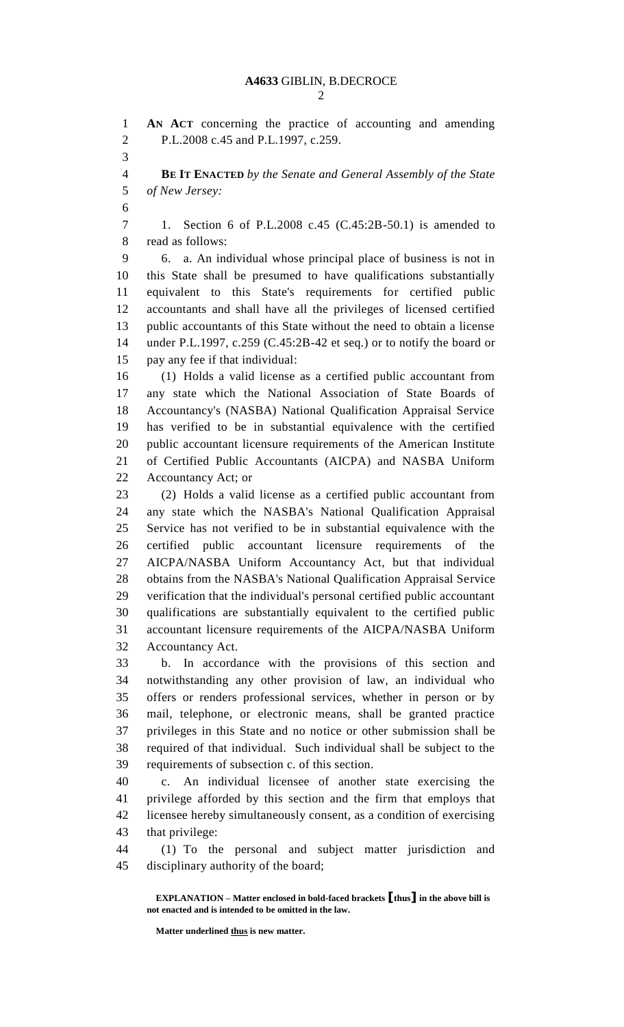**AN ACT** concerning the practice of accounting and amending P.L.2008 c.45 and P.L.1997, c.259. **BE IT ENACTED** *by the Senate and General Assembly of the State of New Jersey:* 1. Section 6 of P.L.2008 c.45 (C.45:2B-50.1) is amended to read as follows: 6. a. An individual whose principal place of business is not in this State shall be presumed to have qualifications substantially equivalent to this State's requirements for certified public accountants and shall have all the privileges of licensed certified public accountants of this State without the need to obtain a license under P.L.1997, c.259 (C.45:2B-42 et seq.) or to notify the board or pay any fee if that individual: (1) Holds a valid license as a certified public accountant from any state which the National Association of State Boards of Accountancy's (NASBA) National Qualification Appraisal Service has verified to be in substantial equivalence with the certified public accountant licensure requirements of the American Institute of Certified Public Accountants (AICPA) and NASBA Uniform Accountancy Act; or (2) Holds a valid license as a certified public accountant from any state which the NASBA's National Qualification Appraisal Service has not verified to be in substantial equivalence with the certified public accountant licensure requirements of the AICPA/NASBA Uniform Accountancy Act, but that individual obtains from the NASBA's National Qualification Appraisal Service verification that the individual's personal certified public accountant qualifications are substantially equivalent to the certified public accountant licensure requirements of the AICPA/NASBA Uniform Accountancy Act. b. In accordance with the provisions of this section and notwithstanding any other provision of law, an individual who offers or renders professional services, whether in person or by mail, telephone, or electronic means, shall be granted practice privileges in this State and no notice or other submission shall be required of that individual. Such individual shall be subject to the requirements of subsection c. of this section. c. An individual licensee of another state exercising the privilege afforded by this section and the firm that employs that licensee hereby simultaneously consent, as a condition of exercising that privilege: (1) To the personal and subject matter jurisdiction and disciplinary authority of the board;

**EXPLANATION – Matter enclosed in bold-faced brackets [thus] in the above bill is not enacted and is intended to be omitted in the law.**

**Matter underlined thus is new matter.**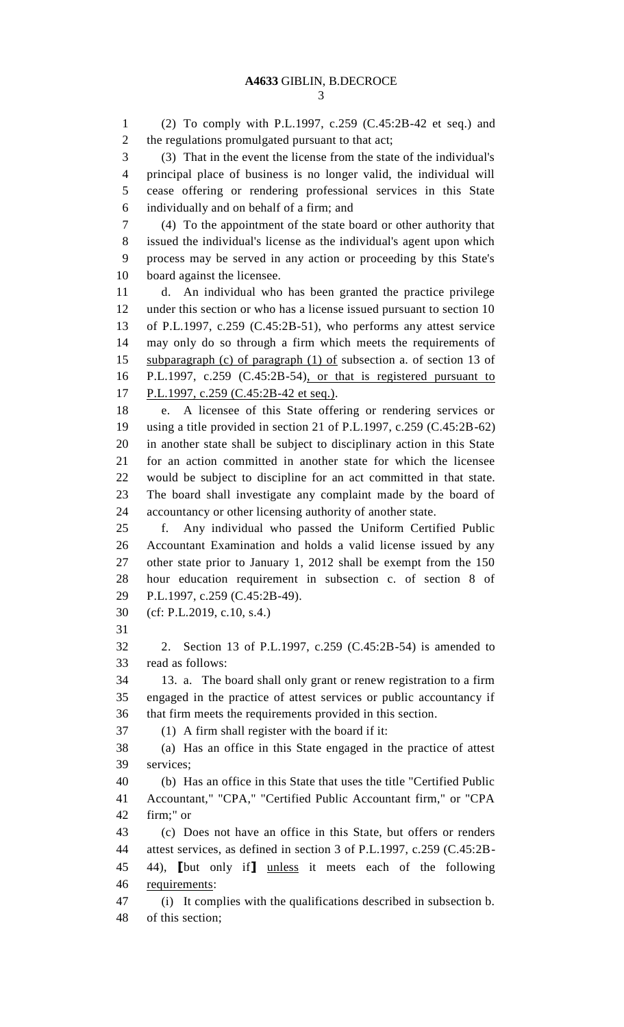(2) To comply with P.L.1997, c.259 (C.45:2B-42 et seq.) and the regulations promulgated pursuant to that act; (3) That in the event the license from the state of the individual's principal place of business is no longer valid, the individual will cease offering or rendering professional services in this State individually and on behalf of a firm; and (4) To the appointment of the state board or other authority that issued the individual's license as the individual's agent upon which process may be served in any action or proceeding by this State's board against the licensee. d. An individual who has been granted the practice privilege under this section or who has a license issued pursuant to section 10 of P.L.1997, c.259 (C.45:2B-51), who performs any attest service may only do so through a firm which meets the requirements of 15 subparagraph (c) of paragraph (1) of subsection a. of section 13 of P.L.1997, c.259 (C.45:2B-54), or that is registered pursuant to 17 P.L.1997, c.259 (C.45:2B-42 et seq.). e. A licensee of this State offering or rendering services or using a title provided in section 21 of P.L.1997, c.259 (C.45:2B-62) in another state shall be subject to disciplinary action in this State for an action committed in another state for which the licensee would be subject to discipline for an act committed in that state. The board shall investigate any complaint made by the board of accountancy or other licensing authority of another state. f. Any individual who passed the Uniform Certified Public Accountant Examination and holds a valid license issued by any other state prior to January 1, 2012 shall be exempt from the 150 hour education requirement in subsection c. of section 8 of P.L.1997, c.259 (C.45:2B-49). (cf: P.L.2019, c.10, s.4.) 2. Section 13 of P.L.1997, c.259 (C.45:2B-54) is amended to read as follows: 13. a. The board shall only grant or renew registration to a firm engaged in the practice of attest services or public accountancy if that firm meets the requirements provided in this section. (1) A firm shall register with the board if it: (a) Has an office in this State engaged in the practice of attest services; (b) Has an office in this State that uses the title "Certified Public Accountant," "CPA," "Certified Public Accountant firm," or "CPA firm;" or (c) Does not have an office in this State, but offers or renders attest services, as defined in section 3 of P.L.1997, c.259 (C.45:2B- 44), **[**but only if**]** unless it meets each of the following requirements: (i) It complies with the qualifications described in subsection b. of this section;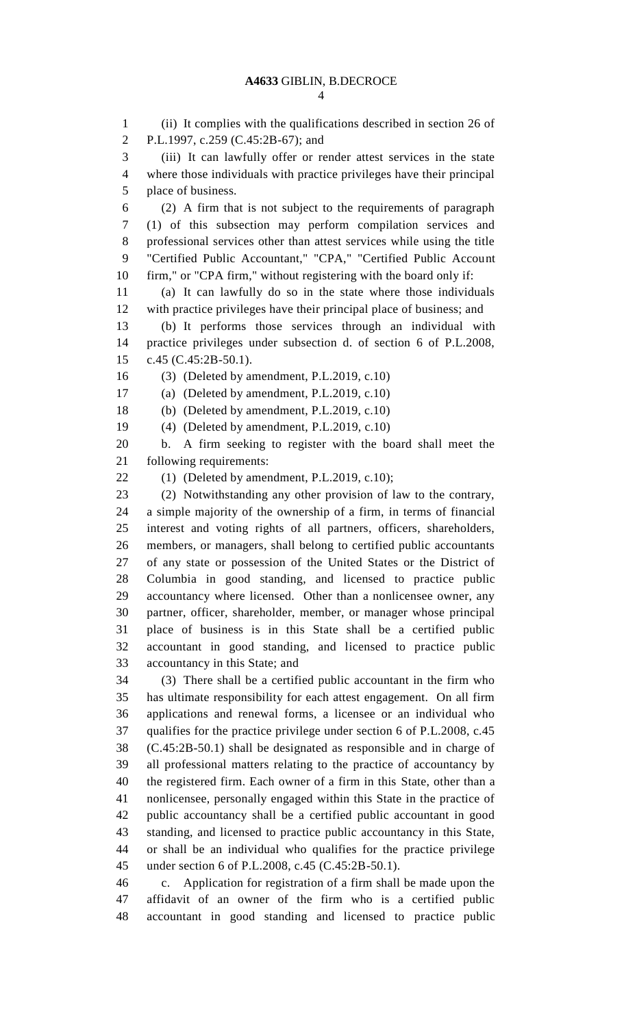(ii) It complies with the qualifications described in section 26 of P.L.1997, c.259 (C.45:2B-67); and (iii) It can lawfully offer or render attest services in the state where those individuals with practice privileges have their principal place of business. (2) A firm that is not subject to the requirements of paragraph (1) of this subsection may perform compilation services and professional services other than attest services while using the title "Certified Public Accountant," "CPA," "Certified Public Account firm," or "CPA firm," without registering with the board only if: (a) It can lawfully do so in the state where those individuals with practice privileges have their principal place of business; and (b) It performs those services through an individual with practice privileges under subsection d. of section 6 of P.L.2008, c.45 (C.45:2B-50.1). (3) (Deleted by amendment, P.L.2019, c.10) (a) (Deleted by amendment, P.L.2019, c.10) (b) (Deleted by amendment, P.L.2019, c.10) (4) (Deleted by amendment, P.L.2019, c.10) b. A firm seeking to register with the board shall meet the following requirements: (1) (Deleted by amendment, P.L.2019, c.10); (2) Notwithstanding any other provision of law to the contrary, a simple majority of the ownership of a firm, in terms of financial interest and voting rights of all partners, officers, shareholders, members, or managers, shall belong to certified public accountants of any state or possession of the United States or the District of Columbia in good standing, and licensed to practice public accountancy where licensed. Other than a nonlicensee owner, any partner, officer, shareholder, member, or manager whose principal place of business is in this State shall be a certified public accountant in good standing, and licensed to practice public accountancy in this State; and (3) There shall be a certified public accountant in the firm who has ultimate responsibility for each attest engagement. On all firm applications and renewal forms, a licensee or an individual who qualifies for the practice privilege under section 6 of P.L.2008, c.45 (C.45:2B-50.1) shall be designated as responsible and in charge of all professional matters relating to the practice of accountancy by the registered firm. Each owner of a firm in this State, other than a nonlicensee, personally engaged within this State in the practice of public accountancy shall be a certified public accountant in good standing, and licensed to practice public accountancy in this State, or shall be an individual who qualifies for the practice privilege under section 6 of P.L.2008, c.45 (C.45:2B-50.1). c. Application for registration of a firm shall be made upon the affidavit of an owner of the firm who is a certified public accountant in good standing and licensed to practice public